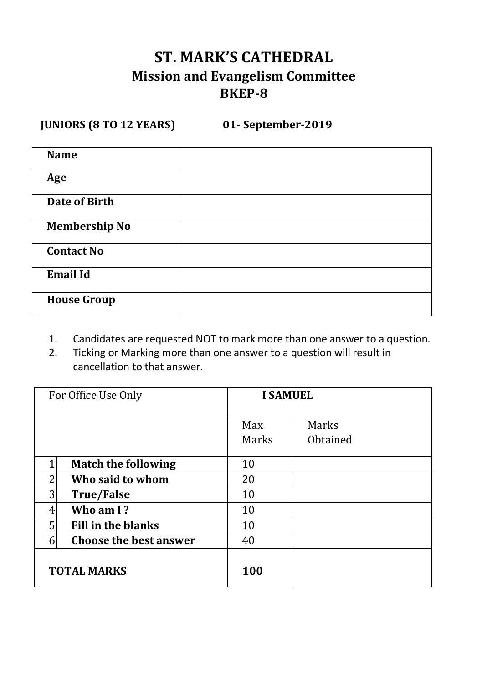# **ST. MARK'S CATHEDRAL Mission and Evangelism Committee BKEP-8**

**JUNIORS (8 TO 12 YEARS) 01- September-2019**

| <b>Name</b>          |  |
|----------------------|--|
| Age                  |  |
| <b>Date of Birth</b> |  |
| <b>Membership No</b> |  |
| <b>Contact No</b>    |  |
| <b>Email Id</b>      |  |
| <b>House Group</b>   |  |

- 1. Candidates are requested NOT to mark more than one answer to a question.<br>2. Ticking or Marking more than one answer to a question will result in
- 2. Ticking or Marking more than one answer to a question will result in cancellation to that answer.

|   | For Office Use Only           |              | <b>I SAMUEL</b>   |  |
|---|-------------------------------|--------------|-------------------|--|
|   |                               | Max<br>Marks | Marks<br>Obtained |  |
|   | <b>Match the following</b>    | 10           |                   |  |
| っ | Who said to whom              | 20           |                   |  |
| 3 | <b>True/False</b>             | 10           |                   |  |
| 4 | Who am I?                     | 10           |                   |  |
| 5 | <b>Fill in the blanks</b>     | 10           |                   |  |
| 6 | <b>Choose the best answer</b> | 40           |                   |  |
|   | <b>TOTAL MARKS</b>            | 100          |                   |  |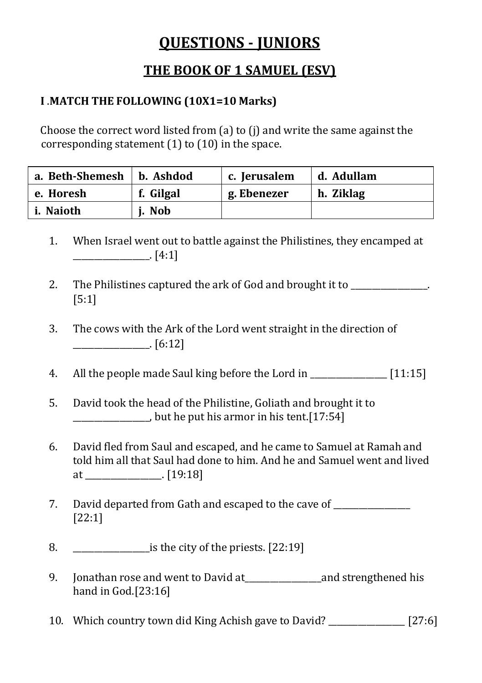# **QUESTIONS - JUNIORS**

## **THE BOOK OF 1 SAMUEL (ESV)**

## **I** .**MATCH THE FOLLOWING (10X1=10 Marks)**

Choose the correct word listed from (a) to (j) and write the same against the corresponding statement (1) to (10) in the space.

| a. Beth-Shemesh | b. Ashdod | c. Jerusalem | d. Adullam |
|-----------------|-----------|--------------|------------|
| e. Horesh       | f. Gilgal | g. Ebenezer  | h. Ziklag  |
| i. Naioth       | i. Nob    |              |            |

- 1. When Israel went out to battle against the Philistines, they encamped at  $\frac{1}{2}$  [4:1]
- 2. The Philistines captured the ark of God and brought it to  $\blacksquare$ [5:1]
- 3. The cows with the Ark of the Lord went straight in the direction of  $\boxed{6:12}$
- 4. All the people made Saul king before the Lord in [11:15]
- 5. David took the head of the Philistine, Goliath and brought it to \_\_\_\_\_\_\_\_\_\_\_\_\_\_\_\_\_\_, but he put his armor in his tent.[17:54]
- 6. David fled from Saul and escaped, and he came to Samuel at Ramah and told him all that Saul had done to him. And he and Samuel went and lived at \_\_\_\_\_\_\_\_\_\_\_\_\_\_\_\_\_\_. [19:18]
- 7. David departed from Gath and escaped to the cave of [22:1]
- 8. \_\_\_\_\_\_\_\_\_\_\_\_\_\_\_\_\_\_is the city of the priests. [22:19]
- 9. Jonathan rose and went to David at\_\_\_\_\_\_\_\_\_\_\_\_\_\_\_\_\_\_and strengthened his hand in God.[23:16]
- 10. Which country town did King Achish gave to David? \_\_\_\_\_\_\_\_\_\_\_\_\_\_\_\_\_\_ [27:6]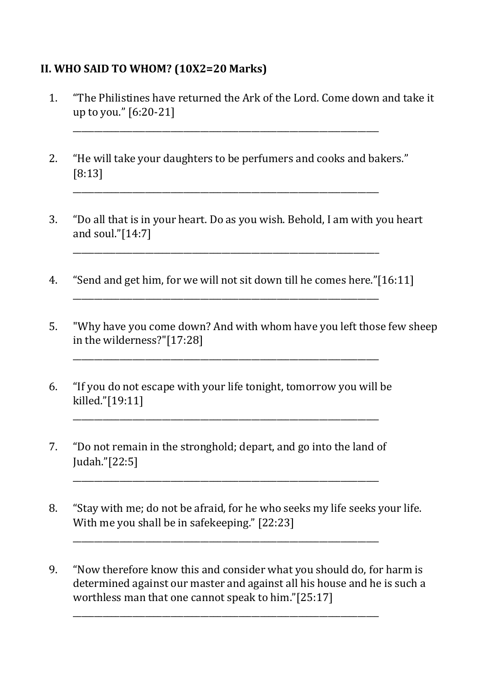### **II. WHO SAID TO WHOM? (10X2=20 Marks)**

- 1. "The Philistines have returned the Ark of the Lord. Come down and take it up to you." [6:20-21]
- 2. "He will take your daughters to be perfumers and cooks and bakers." [8:13]

\_\_\_\_\_\_\_\_\_\_\_\_\_\_\_\_\_\_\_\_\_\_\_\_\_\_\_\_\_\_\_\_\_\_\_\_\_\_\_\_\_\_\_\_\_\_\_\_\_\_\_\_\_\_\_\_\_\_\_\_\_\_\_\_\_\_\_\_\_\_\_\_

\_\_\_\_\_\_\_\_\_\_\_\_\_\_\_\_\_\_\_\_\_\_\_\_\_\_\_\_\_\_\_\_\_\_\_\_\_\_\_\_\_\_\_\_\_\_\_\_\_\_\_\_\_\_\_\_\_\_\_\_\_\_\_\_\_\_\_\_\_\_\_\_

- 3. "Do all that is in your heart. Do as you wish. Behold, I am with you heart and soul."[14:7]
- 4. "Send and get him, for we will not sit down till he comes here."[16:11] \_\_\_\_\_\_\_\_\_\_\_\_\_\_\_\_\_\_\_\_\_\_\_\_\_\_\_\_\_\_\_\_\_\_\_\_\_\_\_\_\_\_\_\_\_\_\_\_\_\_\_\_\_\_\_\_\_\_\_\_\_\_\_\_\_\_\_\_\_\_\_\_

\_\_\_\_\_\_\_\_\_\_\_\_\_\_\_\_\_\_\_\_\_\_\_\_\_\_\_\_\_\_\_\_\_\_\_\_\_\_\_\_\_\_\_\_\_\_\_\_\_\_\_\_\_\_\_\_\_\_\_\_\_\_\_\_\_\_\_\_\_\_\_\_

- 5. "Why have you come down? And with whom have you left those few sheep in the wilderness?"[17:28]
- 6. "If you do not escape with your life tonight, tomorrow you will be killed."[19:11]

\_\_\_\_\_\_\_\_\_\_\_\_\_\_\_\_\_\_\_\_\_\_\_\_\_\_\_\_\_\_\_\_\_\_\_\_\_\_\_\_\_\_\_\_\_\_\_\_\_\_\_\_\_\_\_\_\_\_\_\_\_\_\_\_\_\_\_\_\_\_\_\_

\_\_\_\_\_\_\_\_\_\_\_\_\_\_\_\_\_\_\_\_\_\_\_\_\_\_\_\_\_\_\_\_\_\_\_\_\_\_\_\_\_\_\_\_\_\_\_\_\_\_\_\_\_\_\_\_\_\_\_\_\_\_\_\_\_\_\_\_\_\_\_\_

\_\_\_\_\_\_\_\_\_\_\_\_\_\_\_\_\_\_\_\_\_\_\_\_\_\_\_\_\_\_\_\_\_\_\_\_\_\_\_\_\_\_\_\_\_\_\_\_\_\_\_\_\_\_\_\_\_\_\_\_\_\_\_\_\_\_\_\_\_\_\_\_

\_\_\_\_\_\_\_\_\_\_\_\_\_\_\_\_\_\_\_\_\_\_\_\_\_\_\_\_\_\_\_\_\_\_\_\_\_\_\_\_\_\_\_\_\_\_\_\_\_\_\_\_\_\_\_\_\_\_\_\_\_\_\_\_\_\_\_\_\_\_\_\_

\_\_\_\_\_\_\_\_\_\_\_\_\_\_\_\_\_\_\_\_\_\_\_\_\_\_\_\_\_\_\_\_\_\_\_\_\_\_\_\_\_\_\_\_\_\_\_\_\_\_\_\_\_\_\_\_\_\_\_\_\_\_\_\_\_\_\_\_\_\_\_\_

- 7. "Do not remain in the stronghold; depart, and go into the land of Judah."[22:5]
- 8. "Stay with me; do not be afraid, for he who seeks my life seeks your life. With me you shall be in safekeeping." [22:23]
- 9. "Now therefore know this and consider what you should do, for harm is determined against our master and against all his house and he is such a worthless man that one cannot speak to him."[25:17]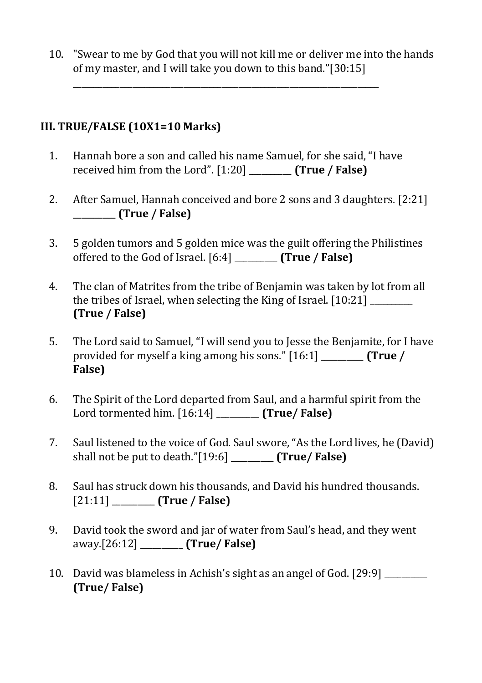10. "Swear to me by God that you will not kill me or deliver me into the hands of my master, and I will take you down to this band."[30:15]

#### **III. TRUE/FALSE (10X1=10 Marks)**

1. Hannah bore a son and called his name Samuel, for she said, "I have received him from the Lord". [1:20] \_\_\_\_\_\_\_\_\_\_ **(True / False)** 

\_\_\_\_\_\_\_\_\_\_\_\_\_\_\_\_\_\_\_\_\_\_\_\_\_\_\_\_\_\_\_\_\_\_\_\_\_\_\_\_\_\_\_\_\_\_\_\_\_\_\_\_\_\_\_\_\_\_\_\_\_\_\_\_\_\_\_\_\_\_\_\_

- 2. After Samuel, Hannah conceived and bore 2 sons and 3 daughters. [2:21] \_\_\_\_\_\_\_\_\_\_ **(True / False)**
- 3. 5 golden tumors and 5 golden mice was the guilt offering the Philistines offered to the God of Israel. [6:4] \_\_\_\_\_\_\_\_\_\_ **(True / False)**
- 4. The clan of Matrites from the tribe of Benjamin was taken by lot from all the tribes of Israel, when selecting the King of Israel. [10:21] **(True / False)**
- 5. The Lord said to Samuel, "I will send you to Jesse the Benjamite, for I have provided for myself a king among his sons." [16:1] \_\_\_\_\_\_\_\_\_\_ **(True / False)**
- 6. The Spirit of the Lord departed from Saul, and a harmful spirit from the Lord tormented him. [16:14] \_\_\_\_\_\_\_\_\_\_ **(True/ False)**
- 7. Saul listened to the voice of God. Saul swore, "As the Lord lives, he (David) shall not be put to death."[19:6] \_\_\_\_\_\_\_\_\_\_ **(True/ False)**
- 8. Saul has struck down his thousands, and David his hundred thousands. [21:11] \_\_\_\_\_\_\_\_\_\_ **(True / False)**
- 9. David took the sword and jar of water from Saul's head, and they went away.[26:12] \_\_\_\_\_\_\_\_\_\_ **(True/ False)**
- 10. David was blameless in Achish's sight as an angel of God. [29:9] \_\_\_\_\_\_\_\_\_\_ **(True/ False)**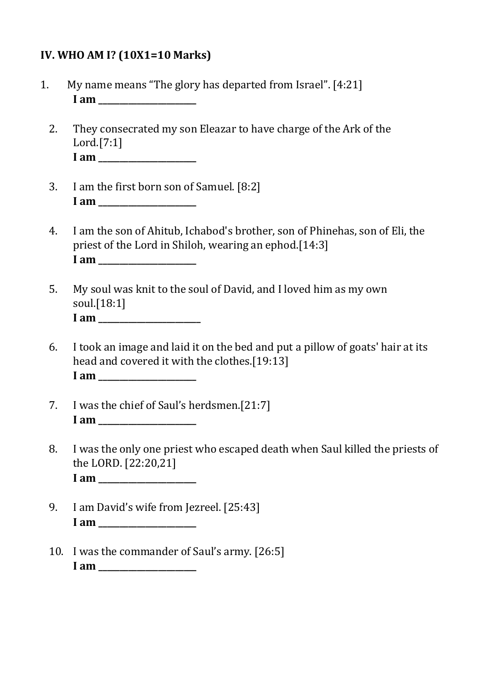#### **IV. WHO AM I? (10X1=10 Marks)**

- 1. My name means "The glory has departed from Israel". [4:21] **I** am  $\blacksquare$ 
	- 2. They consecrated my son Eleazar to have charge of the Ark of the Lord.[7:1] **I am \_\_\_\_\_\_\_\_\_\_\_\_\_\_\_\_\_\_\_\_\_\_\_**
	- 3. I am the first born son of Samuel. [8:2] **I am \_\_\_\_\_\_\_\_\_\_\_\_\_\_\_\_\_\_\_\_\_\_\_**
	- 4. I am the son of Ahitub, Ichabod's brother, son of Phinehas, son of Eli, the priest of the Lord in Shiloh, wearing an ephod.[14:3] **I** am  $\blacksquare$
	- 5. My soul was knit to the soul of David, and I loved him as my own soul.[18:1] **I am \_\_\_\_\_\_\_\_\_\_\_\_\_\_\_\_\_\_\_\_\_\_\_\_**
	- 6. I took an image and laid it on the bed and put a pillow of goats' hair at its head and covered it with the clothes.[19:13] **I am \_\_\_\_\_\_\_\_\_\_\_\_\_\_\_\_\_\_\_\_\_\_\_**
	- 7. I was the chief of Saul's herdsmen.[21:7] **I am \_\_\_\_\_\_\_\_\_\_\_\_\_\_\_\_\_\_\_\_\_\_\_**
	- 8. I was the only one priest who escaped death when Saul killed the priests of the LORD. [22:20,21] **I am \_\_\_\_\_\_\_\_\_\_\_\_\_\_\_\_\_\_\_\_\_\_\_**
	- 9. I am David's wife from Jezreel. [25:43] **I** am  $\blacksquare$
	- 10. I was the commander of Saul's army. [26:5] **I am \_\_\_\_\_\_\_\_\_\_\_\_\_\_\_\_\_\_\_\_\_\_\_**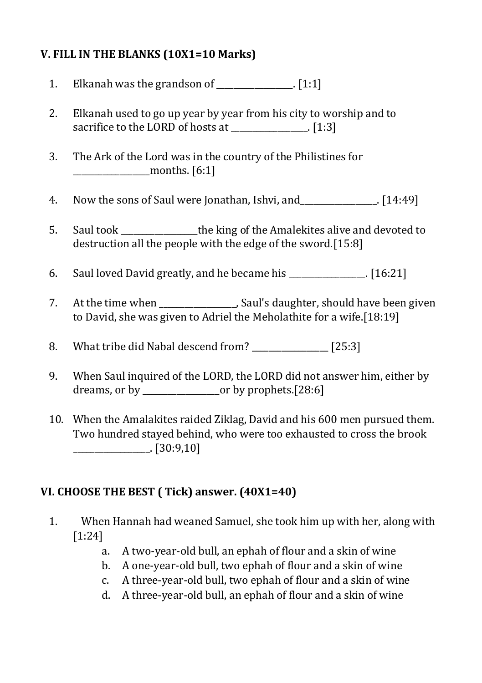### **V. FILL IN THE BLANKS (10X1=10 Marks)**

- 1. Elkanah was the grandson of  $[1:1]$
- 2. Elkanah used to go up year by year from his city to worship and to sacrifice to the LORD of hosts at [1:3]
- 3. The Ark of the Lord was in the country of the Philistines for \_\_\_\_\_\_\_\_\_\_\_\_\_\_\_\_\_\_months. [6:1]
- 4. Now the sons of Saul were Jonathan, Ishvi, and \_\_\_\_\_\_\_\_\_\_\_\_\_\_. [14:49]
- 5. Saul took \_\_\_\_\_\_\_\_\_\_\_\_\_\_\_\_\_\_the king of the Amalekites alive and devoted to destruction all the people with the edge of the sword.[15:8]
- 6. Saul loved David greatly, and he became his  $\sim$  [16:21]
- 7. At the time when saul's daughter, should have been given to David, she was given to Adriel the Meholathite for a wife.[18:19]
- 8. What tribe did Nabal descend from? \_\_\_\_\_\_\_\_\_\_\_\_\_\_\_\_\_\_ [25:3]
- 9. When Saul inquired of the LORD, the LORD did not answer him, either by dreams, or by \_\_\_\_\_\_\_\_\_\_\_\_\_\_\_\_\_\_or by prophets.[28:6]
- 10. When the Amalakites raided Ziklag, David and his 600 men pursued them. Two hundred stayed behind, who were too exhausted to cross the brook \_\_\_\_\_\_\_\_\_\_\_\_\_\_\_\_\_\_. [30:9,10]

#### **VI. CHOOSE THE BEST ( Tick) answer. (40X1=40)**

- 1. When Hannah had weaned Samuel, she took him up with her, along with [1:24]
	- a. A two-year-old bull, an ephah of flour and a skin of wine
	- b. A one-year-old bull, two ephah of flour and a skin of wine
	- c. A three-year-old bull, two ephah of flour and a skin of wine
	- d. A three-year-old bull, an ephah of flour and a skin of wine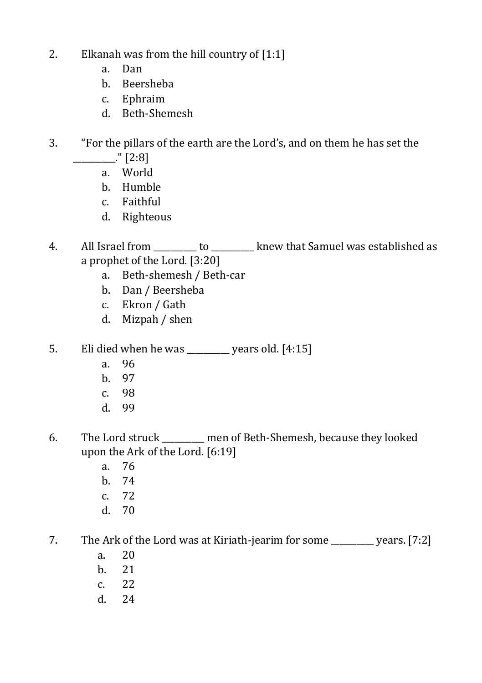- 2. Elkanah was from the hill country of  $[1:1]$ 
	- a. Dan
	- b. Beersheba
	- c. Ephraim
	- d. Beth-Shemesh
- 3. "For the pillars of the earth are the Lord's, and on them he has set the  $\frac{1}{2}$  [2:8]
	- a. World
	- b. Humble
	- c. Faithful
	- d. Righteous
- 4. All Israel from to help has established as  $\blacksquare$ a prophet of the Lord. [3:20]
	- a. Beth-shemesh / Beth-car
	- b. Dan / Beersheba
	- c. Ekron / Gath
	- d. Mizpah / shen
- 5. Eli died when he was  $\qquad \qquad$  years old. [4:15]
	- a. 96
	- b. 97
	- c. 98
	- d. 99
- 6. The Lord struck \_\_\_\_\_\_\_\_\_\_ men of Beth-Shemesh, because they looked upon the Ark of the Lord. [6:19]
	- a. 76
	- b. 74
	- c. 72
	- d. 70

7. The Ark of the Lord was at Kiriath-jearim for some vears. [7:2]

- a. 20
- b. 21
- c. 22
- d. 24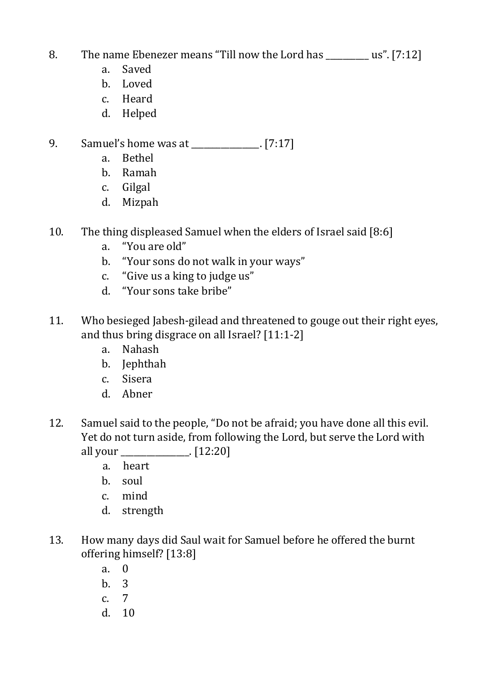## 8. The name Ebenezer means "Till now the Lord has  $us$ ". [7:12]

- a. Saved
- b. Loved
- c. Heard
- d. Helped

## 9. Samuel's home was at [7:17]

- a. Bethel
- b. Ramah
- c. Gilgal
- d. Mizpah
- 10. The thing displeased Samuel when the elders of Israel said [8:6]
	- a. "You are old"
	- b. "Your sons do not walk in your ways"
	- c. "Give us a king to judge us"
	- d. "Your sons take bribe"
- 11. Who besieged Jabesh-gilead and threatened to gouge out their right eyes, and thus bring disgrace on all Israel? [11:1-2]
	- a. Nahash
	- b. Jephthah
	- c. Sisera
	- d. Abner
- 12. Samuel said to the people, "Do not be afraid; you have done all this evil. Yet do not turn aside, from following the Lord, but serve the Lord with all your \_\_\_\_\_\_\_\_\_\_\_\_\_\_\_\_. [12:20]
	- a. heart
	- b. soul
	- c. mind
	- d. strength
- 13. How many days did Saul wait for Samuel before he offered the burnt offering himself? [13:8]
	- a. 0 b. 3 c. 7 d. 10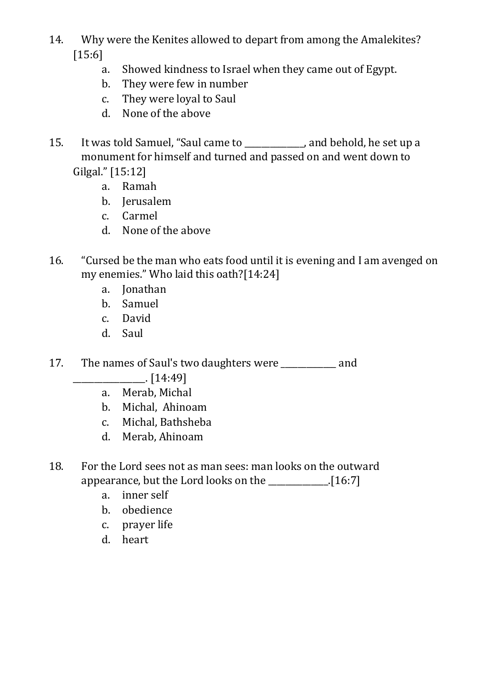- 14. Why were the Kenites allowed to depart from among the Amalekites? [15:6]
	- a. Showed kindness to Israel when they came out of Egypt.
	- b. They were few in number
	- c. They were loyal to Saul
	- d. None of the above
- 15. It was told Samuel, "Saul came to \_\_\_\_\_\_\_\_\_\_\_\_\_\_, and behold, he set up a monument for himself and turned and passed on and went down to Gilgal." [15:12]
	- a. Ramah
	- b. Jerusalem
	- c. Carmel
	- d. None of the above
- 16. "Cursed be the man who eats food until it is evening and I am avenged on my enemies." Who laid this oath?[14:24]
	- a. Jonathan
	- b. Samuel
	- c. David
	- d. Saul
- 17. The names of Saul's two daughters were \_\_\_\_\_\_\_\_\_\_\_\_\_ and
	- $\Box$  [14:49]
	- a. Merab, Michal
	- b. Michal, Ahinoam
	- c. Michal, Bathsheba
	- d. Merab, Ahinoam
- 18. For the Lord sees not as man sees: man looks on the outward appearance, but the Lord looks on the \_\_\_\_\_\_\_\_\_\_\_\_\_\_.[16:7]
	- a. inner self
	- b. obedience
	- c. prayer life
	- d. heart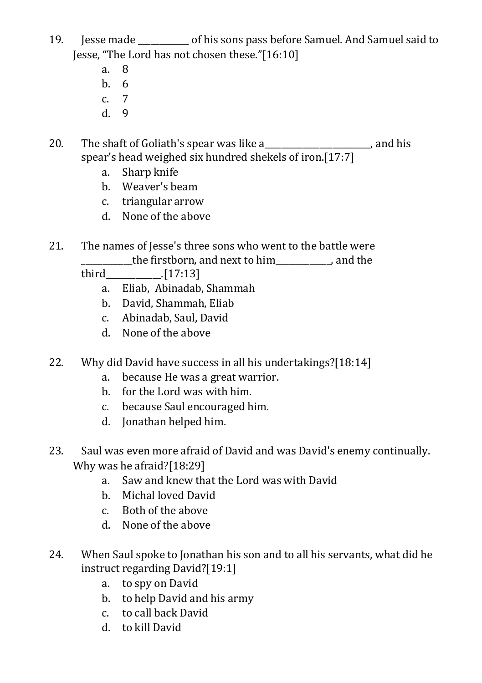- 19. Jesse made \_\_\_\_\_\_\_\_\_\_\_\_ of his sons pass before Samuel. And Samuel said to Jesse, "The Lord has not chosen these."[16:10]
	- a. 8
	- b. 6
	- c. 7
	- d. 9

20. The shaft of Goliath's spear was like a measured by the shaft of Goliath's spear was like a spear's head weighed six hundred shekels of iron.[17:7]

- a. Sharp knife
- b. Weaver's beam
- c. triangular arrow
- d. None of the above

#### 21. The names of Jesse's three sons who went to the battle were \_\_\_\_\_\_\_\_\_\_\_\_the firstborn, and next to him\_\_\_\_\_\_\_\_\_\_\_\_\_, and the

third\_\_\_\_\_\_\_\_\_\_\_\_\_.[17:13]

- a. Eliab, Abinadab, Shammah
- b. David, Shammah, Eliab
- c. Abinadab, Saul, David
- d. None of the above
- 22. Why did David have success in all his undertakings?[18:14]
	- a. because He was a great warrior.
	- b. for the Lord was with him.
	- c. because Saul encouraged him.
	- d. Jonathan helped him.
- 23. Saul was even more afraid of David and was David's enemy continually. Why was he afraid?[18:29]
	- a. Saw and knew that the Lord was with David
	- b. Michal loved David
	- c. Both of the above
	- d. None of the above
- 24. When Saul spoke to Jonathan his son and to all his servants, what did he instruct regarding David?[19:1]
	- a. to spy on David
	- b. to help David and his army
	- c. to call back David
	- d. to kill David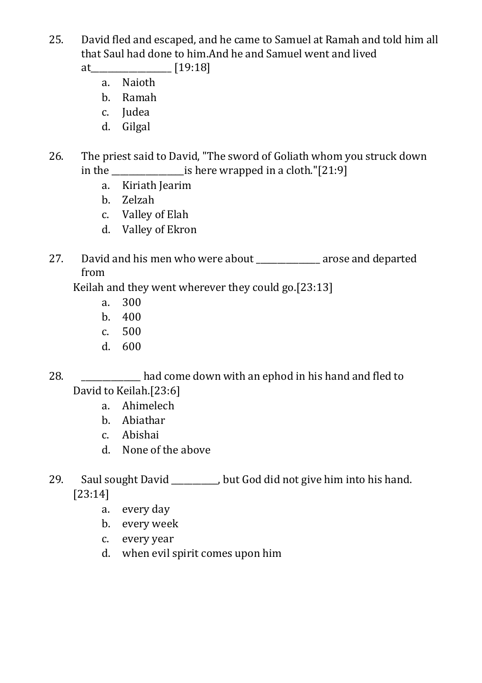25. David fled and escaped, and he came to Samuel at Ramah and told him all that Saul had done to him.And he and Samuel went and lived

at\_\_\_\_\_\_\_\_\_\_\_\_\_\_\_\_\_\_\_ [19:18]

- a. Naioth
- b. Ramah
- c. Judea
- d. Gilgal
- 26. The priest said to David, "The sword of Goliath whom you struck down in the \_\_\_\_\_\_\_\_\_\_\_\_\_\_\_\_\_is here wrapped in a cloth."[21:9]
	- a. Kiriath Jearim
	- b. Zelzah
	- c. Valley of Elah
	- d. Valley of Ekron
- 27. David and his men who were about \_\_\_\_\_\_\_\_\_\_\_\_\_\_\_ arose and departed from

Keilah and they went wherever they could go.[23:13]

- a. 300
- b. 400
- c. 500
- d. 600

28. \_\_\_\_\_\_\_\_\_\_\_\_\_\_ had come down with an ephod in his hand and fled to David to Keilah.[23:6]

- a. Ahimelech
- b. Abiathar
- c. Abishai
- d. None of the above

29. Saul sought David but God did not give him into his hand. [23:14]

- a. every day
- b. every week
- c. every year
- d. when evil spirit comes upon him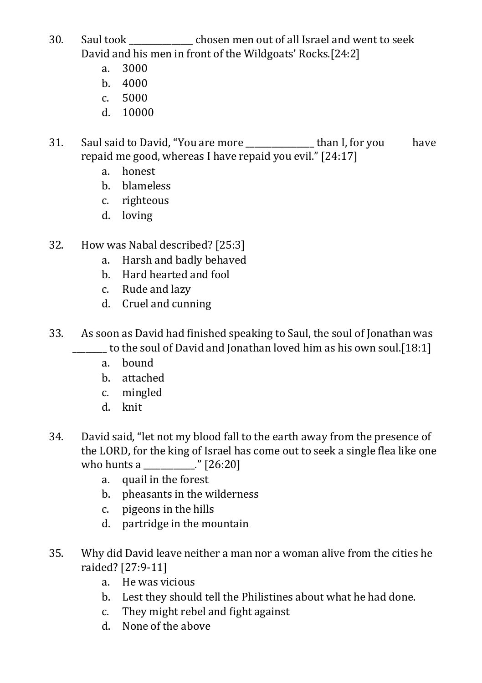- 30. Saul took \_\_\_\_\_\_\_\_\_\_\_\_\_\_\_ chosen men out of all Israel and went to seek David and his men in front of the Wildgoats' Rocks.[24:2]
	- a. 3000
	- b. 4000
	- $c 5000$
	- d. 10000

31. Saul said to David, "You are more than I, for you have repaid me good, whereas I have repaid you evil." [24:17]

- a. honest
- b. blameless
- c. righteous
- d. loving
- 32. How was Nabal described? [25:3]
	- a. Harsh and badly behaved
	- b. Hard hearted and fool
	- c. Rude and lazy
	- d. Cruel and cunning
- 33. As soon as David had finished speaking to Saul, the soul of Jonathan was \_\_\_\_\_\_\_\_ to the soul of David and Jonathan loved him as his own soul.[18:1]
	- a. bound
	- b. attached
	- c. mingled
	- d. knit
- 34. David said, "let not my blood fall to the earth away from the presence of the LORD, for the king of Israel has come out to seek a single flea like one who hunts a \_\_\_\_\_\_\_\_\_\_\_\_." [26:20]
	- a. quail in the forest
	- b. pheasants in the wilderness
	- c. pigeons in the hills
	- d. partridge in the mountain
- 35. Why did David leave neither a man nor a woman alive from the cities he raided? [27:9-11]
	- a. He was vicious
	- b. Lest they should tell the Philistines about what he had done.
	- c. They might rebel and fight against
	- d. None of the above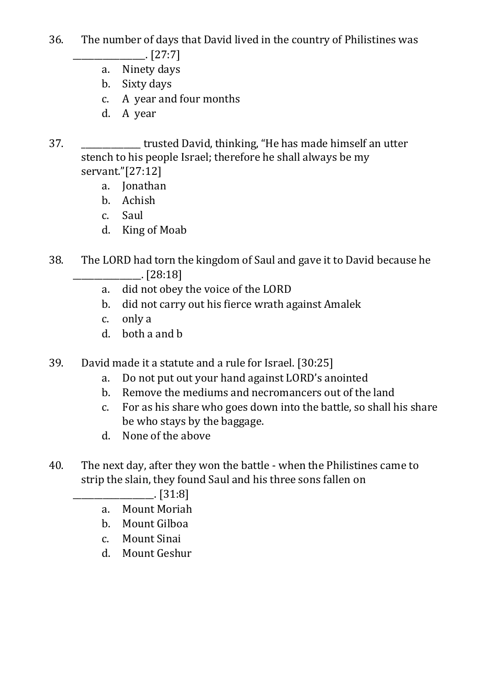- 36. The number of days that David lived in the country of Philistines was  $[27:7]$ 
	- a. Ninety days
	- b. Sixty days
	- c. A year and four months
	- d. A year
- 37. \_\_\_\_\_\_\_\_\_\_\_\_\_\_ trusted David, thinking, "He has made himself an utter stench to his people Israel; therefore he shall always be my servant."[27:12]
	- a. Jonathan
	- b. Achish
	- c. Saul
	- d. King of Moab
- 38. The LORD had torn the kingdom of Saul and gave it to David because he \_\_\_\_\_\_\_\_\_\_\_\_\_\_\_\_. [28:18]
	- a. did not obey the voice of the LORD
	- b. did not carry out his fierce wrath against Amalek
	- c. only a
	- d. both a and b
- 39. David made it a statute and a rule for Israel. [30:25]
	- a. Do not put out your hand against LORD's anointed
	- b. Remove the mediums and necromancers out of the land
	- c. For as his share who goes down into the battle, so shall his share be who stays by the baggage.
	- d. None of the above
- 40. The next day, after they won the battle when the Philistines came to strip the slain, they found Saul and his three sons fallen on

\_\_\_\_\_\_\_\_\_\_\_\_\_\_\_\_\_\_\_. [31:8]

- a. Mount Moriah
- b. Mount Gilboa
- c. Mount Sinai
- d. Mount Geshur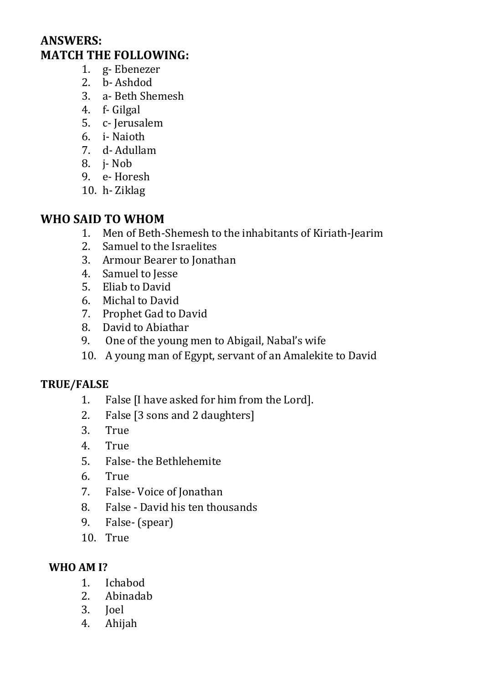## **ANSWERS: MATCH THE FOLLOWING:**

- 1. g- Ebenezer
- 2. b- Ashdod
- 3. a- Beth Shemesh
- 4. f- Gilgal
- 5. c- Jerusalem
- 6. i- Naioth
- 7. d- Adullam
- 8. j- Nob
- 9. e- Horesh
- 10. h- Ziklag

## **WHO SAID TO WHOM**

- 1. Men of Beth-Shemesh to the inhabitants of Kiriath-Jearim
- 2. Samuel to the Israelites
- 3. Armour Bearer to Jonathan
- 4. Samuel to Jesse
- 5. Eliab to David
- 6. Michal to David
- 7. Prophet Gad to David
- 8. David to Abiathar
- 9. One of the young men to Abigail, Nabal's wife
- 10. A young man of Egypt, servant of an Amalekite to David

#### **TRUE/FALSE**

- 1. False [I have asked for him from the Lord].
- 2. False [3 sons and 2 daughters]
- 3. True
- 4. True
- 5. False- the Bethlehemite
- 6. True
- 7. False- Voice of Jonathan
- 8. False David his ten thousands
- 9. False- (spear)
- 10. True

#### **WHO AM I?**

- 1. Ichabod
- 2. Abinadab
- 3. Joel
- 4. Ahijah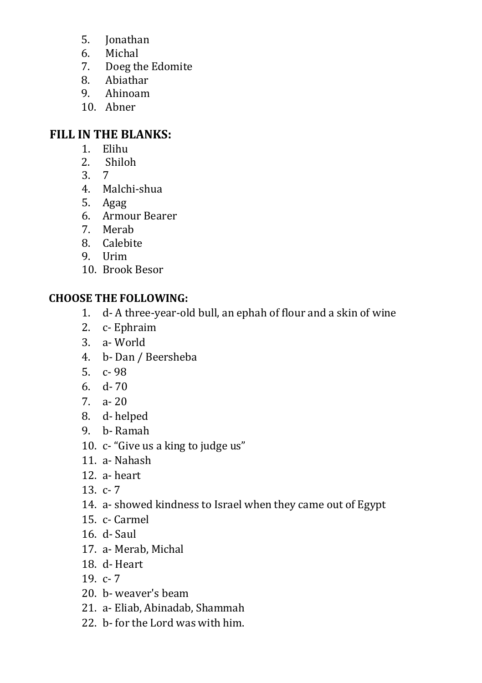- 5. Jonathan
- 6. Michal
- 7. Doeg the Edomite
- 8. Abiathar
- 9. Ahinoam
- 10. Abner

## **FILL IN THE BLANKS:**

- 1. Elihu
- 2. Shiloh
- 3. 7
- 4. Malchi-shua
- 5. Agag
- 6. Armour Bearer
- 7. Merab
- 8. Calebite
- 9. Urim
- 10. Brook Besor

## **CHOOSE THE FOLLOWING:**

- 1. d- A three-year-old bull, an ephah of flour and a skin of wine
- 2. c- Ephraim
- 3. a- World
- 4. b- Dan / Beersheba
- 5. c- 98
- 6. d- 70
- 7. a- 20
- 8. d- helped
- 9. b- Ramah
- 10. c- "Give us a king to judge us"
- 11. a- Nahash
- 12. a- heart
- 13. c- 7
- 14. a- showed kindness to Israel when they came out of Egypt
- 15. c- Carmel
- 16. d- Saul
- 17. a- Merab, Michal
- 18. d- Heart
- 19  $c 7$
- 20. b- weaver's beam
- 21. a- Eliab, Abinadab, Shammah
- 22. b- for the Lord was with him.